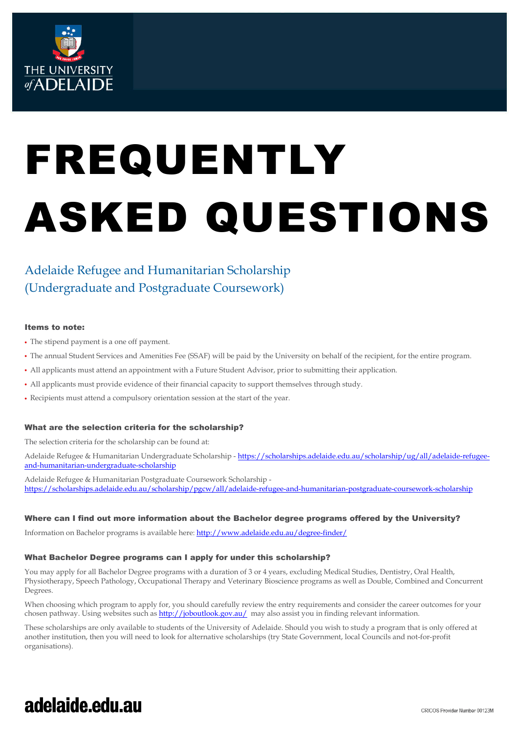

# FREQUENTLY ASKED QUESTIONS

### Adelaide Refugee and Humanitarian Scholarship (Undergraduate and Postgraduate Coursework)

#### Items to note:

- The stipend payment is a one off payment.
- The annual Student Services and Amenities Fee (SSAF) will be paid by the University on behalf of the recipient, for the entire program.
- All applicants must attend an appointment with a Future Student Advisor, prior to submitting their application.
- All applicants must provide evidence of their financial capacity to support themselves through study.
- Recipients must attend a compulsory orientation session at the start of the year.

#### What are the selection criteria for the scholarship?

The selection criteria for the scholarship can be found at:

Adelaide Refugee & Humanitarian Undergraduate Scholarship - [https://scholarships.adelaide.edu.au/scholarship/ug/all/adelaide-refugee](https://scholarships.adelaide.edu.au/scholarship/ug/all/adelaide-refugee-and-humanitarian-undergraduate-scholarship)[and-humanitarian-undergraduate-scholarship](https://scholarships.adelaide.edu.au/scholarship/ug/all/adelaide-refugee-and-humanitarian-undergraduate-scholarship) 

Adelaide Refugee & Humanitarian Postgraduate Coursework Scholarship <https://scholarships.adelaide.edu.au/scholarship/pgcw/all/adelaide-refugee-and-humanitarian-postgraduate-coursework-scholarship>

#### Where can I find out more information about the Bachelor degree programs offered by the University?

Information on Bachelor programs is available here[: http://www.adelaide.edu.au/degree-finder/](http://www.adelaide.edu.au/degree-finder/) 

#### What Bachelor Degree programs can I apply for under this scholarship?

You may apply for all Bachelor Degree programs with a duration of 3 or 4 years, excluding Medical Studies, Dentistry, Oral Health, Physiotherapy, Speech Pathology, Occupational Therapy and Veterinary Bioscience programs as well as Double, Combined and Concurrent Degrees.

When choosing which program to apply for, you should carefully review the entry requirements and consider the career outcomes for your chosen pathway. Using websites such a[s http://joboutlook.gov.au/](http://joboutlook.gov.au/) may also assist you in finding relevant information.

These scholarships are only available to students of the University of Adelaide. Should you wish to study a program that is only offered at another institution, then you will need to look for alternative scholarships (try State Government, local Councils and not-for-profit organisations).

## adelaide.edu.au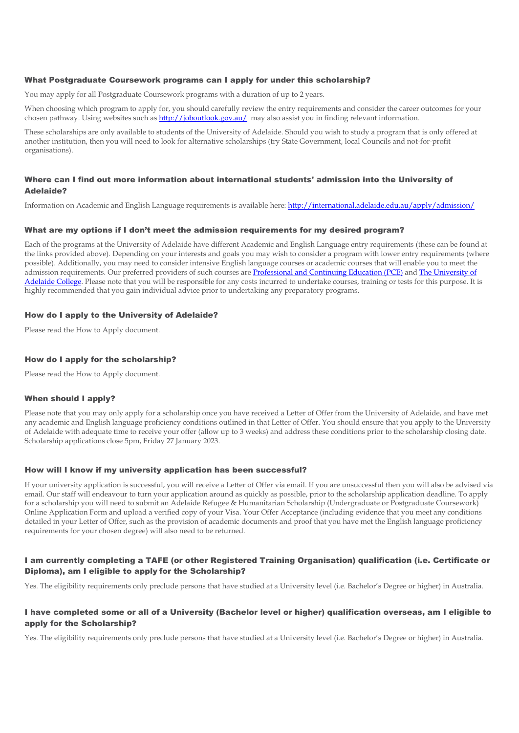#### What Postgraduate Coursework programs can I apply for under this scholarship?

You may apply for all Postgraduate Coursework programs with a duration of up to 2 years.

When choosing which program to apply for, you should carefully review the entry requirements and consider the career outcomes for your chosen pathway. Using websites such a[s http://joboutlook.gov.au/](http://joboutlook.gov.au/) may also assist you in finding relevant information.

These scholarships are only available to students of the University of Adelaide. Should you wish to study a program that is only offered at another institution, then you will need to look for alternative scholarships (try State Government, local Councils and not-for-profit organisations).

#### Where can I find out more information about international students' admission into the University of Adelaide?

Information on Academic and English Language requirements is available here[: http://international.adelaide.edu.au/apply/admission/](http://international.adelaide.edu.au/apply/admission/) 

#### What are my options if I don't meet the admission requirements for my desired program?

Each of the programs at the University of Adelaide have different Academic and English Language entry requirements (these can be found at the links provided above). Depending on your interests and goals you may wish to consider a program with lower entry requirements (where possible). Additionally, you may need to consider intensive English language courses or academic courses that will enable you to meet the admission requirements. Our preferred providers of such courses ar[e Professional and Continuing Education \(PCE\)](https://www.adelaide.edu.au/pce/) and The University of [Adelaide College.](https://college.adelaide.edu.au/) Please note that you will be responsible for any costs incurred to undertake courses, training or tests for this purpose. It is highly recommended that you gain individual advice prior to undertaking any preparatory programs.

#### How do I apply to the University of Adelaide?

Please read the How to Apply document.

#### How do I apply for the scholarship?

Please read the How to Apply document.

#### When should I apply?

Please note that you may only apply for a scholarship once you have received a Letter of Offer from the University of Adelaide, and have met any academic and English language proficiency conditions outlined in that Letter of Offer. You should ensure that you apply to the University of Adelaide with adequate time to receive your offer (allow up to 3 weeks) and address these conditions prior to the scholarship closing date. Scholarship applications close 5pm, Friday 27 January 2023.

#### How will I know if my university application has been successful?

If your university application is successful, you will receive a Letter of Offer via email. If you are unsuccessful then you will also be advised via email. Our staff will endeavour to turn your application around as quickly as possible, prior to the scholarship application deadline. To apply for a scholarship you will need to submit an Adelaide Refugee & Humanitarian Scholarship (Undergraduate or Postgraduate Coursework) Online Application Form and upload a verified copy of your Visa. Your Offer Acceptance (including evidence that you meet any conditions detailed in your Letter of Offer, such as the provision of academic documents and proof that you have met the English language proficiency requirements for your chosen degree) will also need to be returned.

#### I am currently completing a TAFE (or other Registered Training Organisation) qualification (i.e. Certificate or Diploma), am I eligible to apply for the Scholarship?

Yes. The eligibility requirements only preclude persons that have studied at a University level (i.e. Bachelor's Degree or higher) in Australia.

#### I have completed some or all of a University (Bachelor level or higher) qualification overseas, am I eligible to apply for the Scholarship?

Yes. The eligibility requirements only preclude persons that have studied at a University level (i.e. Bachelor's Degree or higher) in Australia.